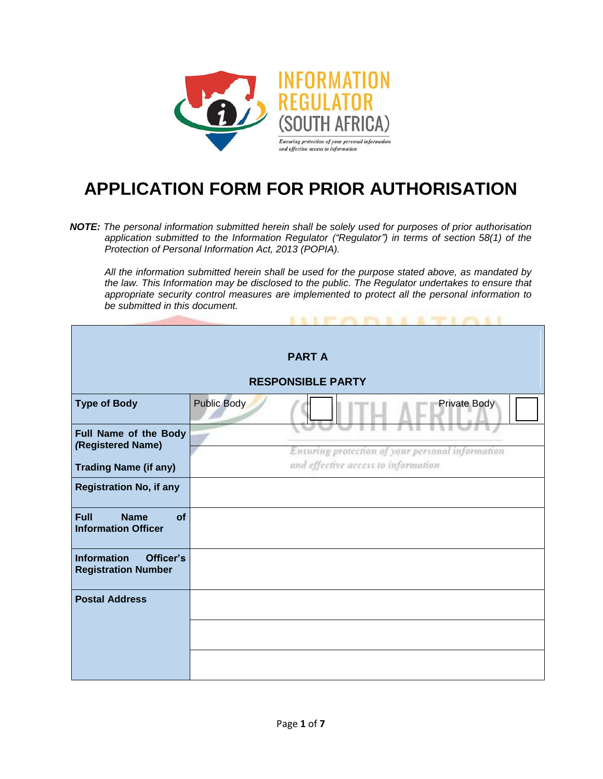

## **APPLICATION FORM FOR PRIOR AUTHORISATION**

*NOTE: The personal information submitted herein shall be solely used for purposes of prior authorisation application submitted to the Information Regulator ("Regulator") in terms of section 58(1) of the Protection of Personal Information Act, 2013 (POPIA).*

*All the information submitted herein shall be used for the purpose stated above, as mandated by the law. This Information may be disclosed to the public. The Regulator undertakes to ensure that appropriate security control measures are implemented to protect all the personal information to be submitted in this document.*

**EXTRACTOR A SPECIALE** 

| <b>PART A</b>                                                  |                    |                                                  |  |  |  |  |  |  |  |
|----------------------------------------------------------------|--------------------|--------------------------------------------------|--|--|--|--|--|--|--|
| <b>RESPONSIBLE PARTY</b>                                       |                    |                                                  |  |  |  |  |  |  |  |
| <b>Type of Body</b>                                            | <b>Public Body</b> | Private Body                                     |  |  |  |  |  |  |  |
| Full Name of the Body<br>(Registered Name)                     |                    | Ensuring protection of your personal information |  |  |  |  |  |  |  |
| <b>Trading Name (if any)</b>                                   |                    | and effective access to information              |  |  |  |  |  |  |  |
| <b>Registration No, if any</b>                                 |                    |                                                  |  |  |  |  |  |  |  |
| <b>Full</b><br><b>Name</b><br>of<br><b>Information Officer</b> |                    |                                                  |  |  |  |  |  |  |  |
| <b>Information</b><br>Officer's<br><b>Registration Number</b>  |                    |                                                  |  |  |  |  |  |  |  |
| <b>Postal Address</b>                                          |                    |                                                  |  |  |  |  |  |  |  |
|                                                                |                    |                                                  |  |  |  |  |  |  |  |
|                                                                |                    |                                                  |  |  |  |  |  |  |  |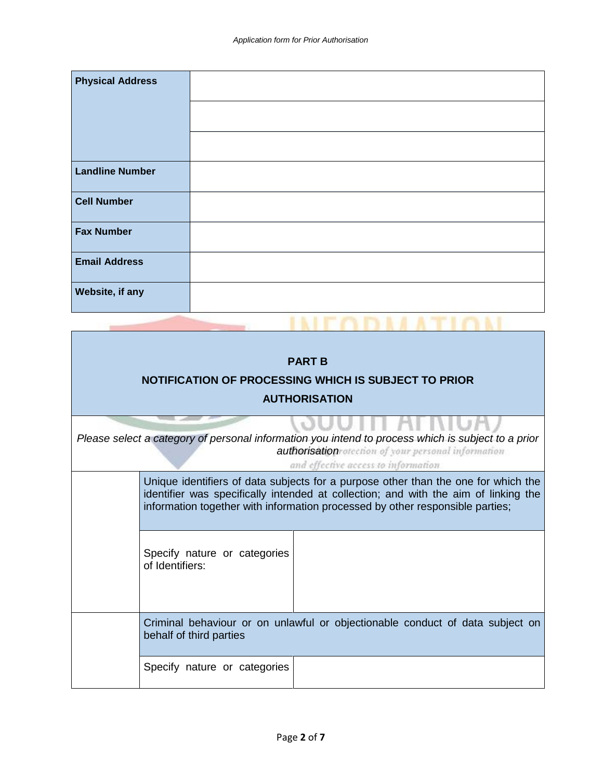| <b>Physical Address</b> |  |
|-------------------------|--|
| <b>Landline Number</b>  |  |
| <b>Cell Number</b>      |  |
| <b>Fax Number</b>       |  |
| <b>Email Address</b>    |  |
| Website, if any         |  |

**INFODMATION** 

| <b>PART B</b><br>NOTIFICATION OF PROCESSING WHICH IS SUBJECT TO PRIOR<br><b>AUTHORISATION</b>                                                                                                       |                                                                                                                                                                                                                                                            |  |  |  |  |  |  |  |
|-----------------------------------------------------------------------------------------------------------------------------------------------------------------------------------------------------|------------------------------------------------------------------------------------------------------------------------------------------------------------------------------------------------------------------------------------------------------------|--|--|--|--|--|--|--|
| VIII MNI<br>Please select a category of personal information you intend to process which is subject to a prior<br>authorisation of cour personal information<br>and effective access to information |                                                                                                                                                                                                                                                            |  |  |  |  |  |  |  |
|                                                                                                                                                                                                     | Unique identifiers of data subjects for a purpose other than the one for which the<br>identifier was specifically intended at collection; and with the aim of linking the<br>information together with information processed by other responsible parties; |  |  |  |  |  |  |  |
|                                                                                                                                                                                                     | Specify nature or categories<br>of Identifiers:                                                                                                                                                                                                            |  |  |  |  |  |  |  |
|                                                                                                                                                                                                     | Criminal behaviour or on unlawful or objectionable conduct of data subject on<br>behalf of third parties                                                                                                                                                   |  |  |  |  |  |  |  |
|                                                                                                                                                                                                     | Specify nature or categories                                                                                                                                                                                                                               |  |  |  |  |  |  |  |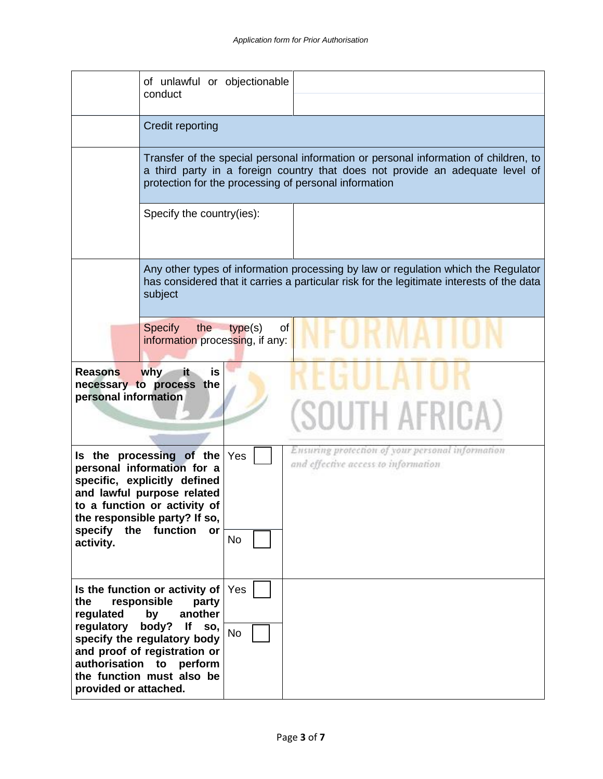|                                                         | of unlawful or objectionable<br>conduct                                                                                                                                                                               |                  |                                                                                                                                                                                                                                |
|---------------------------------------------------------|-----------------------------------------------------------------------------------------------------------------------------------------------------------------------------------------------------------------------|------------------|--------------------------------------------------------------------------------------------------------------------------------------------------------------------------------------------------------------------------------|
|                                                         | <b>Credit reporting</b>                                                                                                                                                                                               |                  |                                                                                                                                                                                                                                |
|                                                         |                                                                                                                                                                                                                       |                  | Transfer of the special personal information or personal information of children, to<br>a third party in a foreign country that does not provide an adequate level of<br>protection for the processing of personal information |
|                                                         | Specify the country(ies):                                                                                                                                                                                             |                  |                                                                                                                                                                                                                                |
|                                                         | subject                                                                                                                                                                                                               |                  | Any other types of information processing by law or regulation which the Regulator<br>has considered that it carries a particular risk for the legitimate interests of the data                                                |
|                                                         | the<br>Specify<br>information processing, if any:                                                                                                                                                                     | type(s)<br>of    |                                                                                                                                                                                                                                |
| <b>Reasons</b><br>personal information                  | why<br>is<br>it,<br>necessary to process the                                                                                                                                                                          |                  | (SOUTH AFRICA)                                                                                                                                                                                                                 |
| specify<br>activity.                                    | Is the processing of the<br>personal information for a<br>specific, explicitly defined<br>and lawful purpose related<br>to a function or activity of<br>the responsible party? If so,<br>the function<br>or           | Yes<br><b>No</b> | Ensuring protection of your personal information<br>and effective access to information                                                                                                                                        |
| the<br>regulated<br>regulatory<br>provided or attached. | Is the function or activity of<br>responsible<br>party<br>another<br>by<br>body?<br>lf<br>SO,<br>specify the regulatory body<br>and proof of registration or<br>authorisation to perform<br>the function must also be | Yes<br><b>No</b> |                                                                                                                                                                                                                                |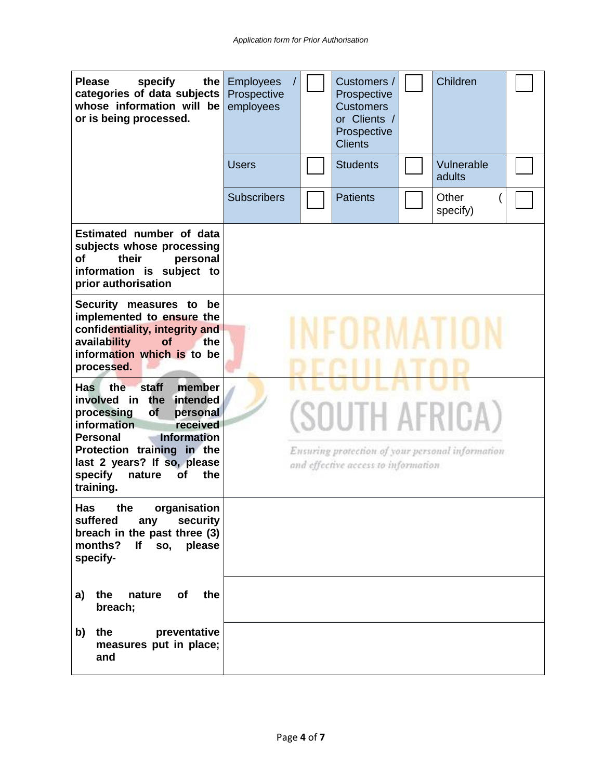| <b>Please</b><br>specify<br>the<br>categories of data subjects<br>whose information will be<br>or is being processed.                                              | <b>Employees</b><br>Prospective<br>employees                                                              |  |  | Customers /<br>Prospective<br><b>Customers</b><br>or Clients /<br>Prospective<br><b>Clients</b> |  | Children             |  |  |
|--------------------------------------------------------------------------------------------------------------------------------------------------------------------|-----------------------------------------------------------------------------------------------------------|--|--|-------------------------------------------------------------------------------------------------|--|----------------------|--|--|
|                                                                                                                                                                    | <b>Users</b>                                                                                              |  |  | <b>Students</b>                                                                                 |  | Vulnerable<br>adults |  |  |
|                                                                                                                                                                    | <b>Subscribers</b>                                                                                        |  |  | <b>Patients</b>                                                                                 |  | Other<br>specify)    |  |  |
| Estimated number of data<br>subjects whose processing<br>οf<br>their<br>personal<br>information is subject to<br>prior authorisation                               |                                                                                                           |  |  |                                                                                                 |  |                      |  |  |
| Security measures to<br>be<br>implemented to ensure the<br>confidentiality, integrity and<br>availability<br>the<br>of<br>information which is to be<br>processed. |                                                                                                           |  |  |                                                                                                 |  |                      |  |  |
| staff<br>member<br><b>Has</b><br>the<br>involved in the<br>intended<br>processing<br><b>of</b><br>personal<br>information<br>received                              | (SOUTH AFRICA)<br>Ensuring protection of your personal information<br>and effective access to information |  |  |                                                                                                 |  |                      |  |  |
| <b>Information</b><br><b>Personal</b><br>Protection training in the<br>last 2 years? If so, please<br>specify<br>the<br>nature<br>of<br>training.                  |                                                                                                           |  |  |                                                                                                 |  |                      |  |  |
| Has<br>organisation<br>the<br>suffered<br>security<br>any<br>breach in the past three (3)<br>months?<br>If so, please<br>specify-                                  |                                                                                                           |  |  |                                                                                                 |  |                      |  |  |
| of<br>the<br>a)<br>the<br>nature<br>breach;                                                                                                                        |                                                                                                           |  |  |                                                                                                 |  |                      |  |  |
| preventative<br>the<br>b)<br>measures put in place;<br>and                                                                                                         |                                                                                                           |  |  |                                                                                                 |  |                      |  |  |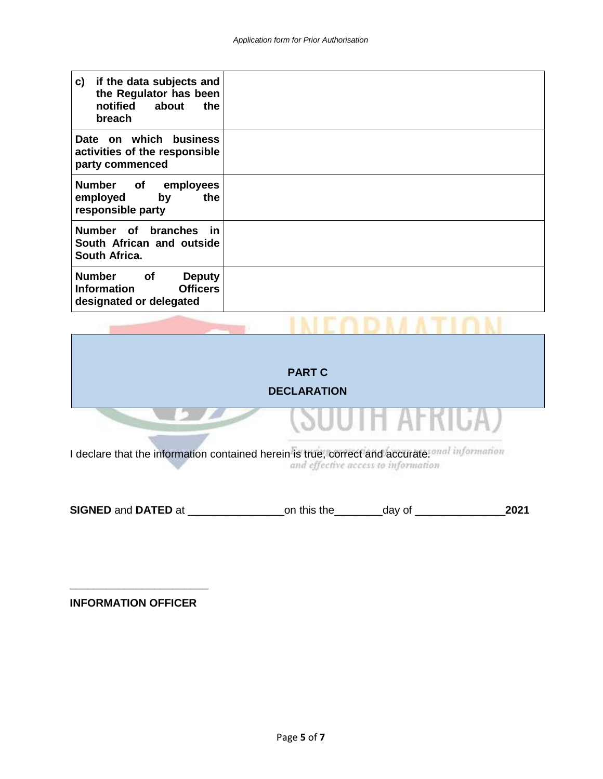| if the data subjects and<br>c)<br>the Regulator has been<br>notified about<br>the<br>breach                     |  |
|-----------------------------------------------------------------------------------------------------------------|--|
| Date on which business<br>activities of the responsible<br>party commenced                                      |  |
| Number of<br>employees<br>the<br>employed<br>by<br>responsible party                                            |  |
| Number of branches in<br>South African and outside<br>South Africa.                                             |  |
| <b>Number</b><br><b>of</b><br><b>Deputy</b><br><b>Information</b><br><b>Officers</b><br>designated or delegated |  |

|                                                                                | <b>PART C</b><br><b>DECLARATION</b> |
|--------------------------------------------------------------------------------|-------------------------------------|
|                                                                                | JUTH AFRIU                          |
| I declare that the information contained herein is true, correct and accurate. | and effective access to information |

**SIGNED** and **DATED** at \_\_\_\_\_\_\_\_\_\_\_\_\_\_\_\_on this the\_\_\_\_\_\_\_\_day of \_\_\_\_\_\_\_\_\_\_\_\_\_\_\_**2021**

**INFORMATION OFFICER**

**\_\_\_\_\_\_\_\_\_\_\_\_\_\_\_\_\_\_\_\_\_\_\_**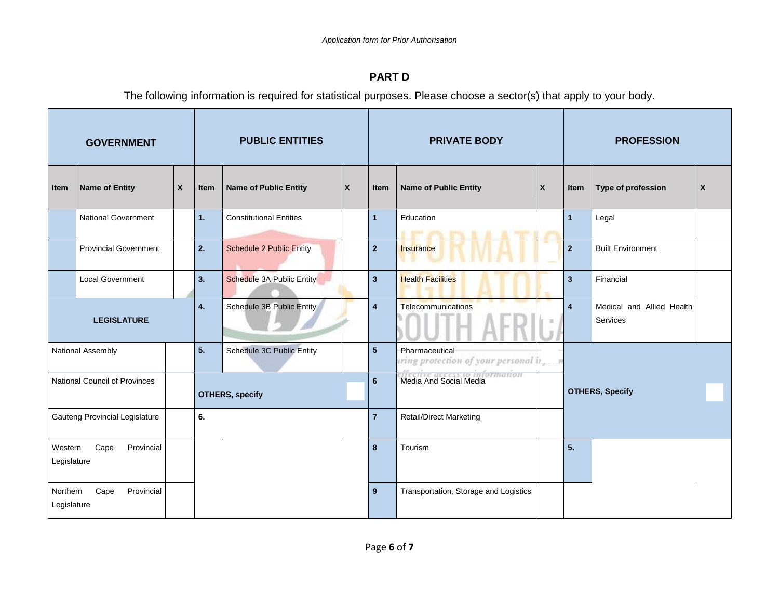## **PART D**

The following information is required for statistical purposes. Please choose a sector(s) that apply to your body.

| <b>GOVERNMENT</b>              |                              |                           | <b>PUBLIC ENTITIES</b> |                                 | <b>PRIVATE BODY</b> |                                |                                                         | <b>PROFESSION</b>      |                         |                                       |                           |
|--------------------------------|------------------------------|---------------------------|------------------------|---------------------------------|---------------------|--------------------------------|---------------------------------------------------------|------------------------|-------------------------|---------------------------------------|---------------------------|
| Item                           | <b>Name of Entity</b>        | $\boldsymbol{\mathsf{X}}$ | Item                   | <b>Name of Public Entity</b>    | $\mathsf{x}$        | Item                           | <b>Name of Public Entity</b>                            | X                      | Item                    | Type of profession                    | $\boldsymbol{\mathsf{X}}$ |
|                                | <b>National Government</b>   |                           | 1.                     | <b>Constitutional Entities</b>  |                     | $\overline{1}$                 | Education<br>a great prints, great in-<br><b>Stage</b>  |                        | 1                       | Legal                                 |                           |
|                                | <b>Provincial Government</b> |                           | 2.                     | <b>Schedule 2 Public Entity</b> |                     | $\overline{2}$                 | Insurance                                               |                        | $\overline{2}$          | <b>Built Environment</b>              |                           |
|                                | <b>Local Government</b>      |                           | 3 <sub>1</sub>         | Schedule 3A Public Entity       |                     | $\overline{\mathbf{3}}$        | <b>Health Facilities</b>                                |                        | $\overline{3}$          | Financial                             |                           |
|                                | <b>LEGISLATURE</b>           |                           | 4.                     | Schedule 3B Public Entity       |                     | $\overline{\mathbf{4}}$        | Telecommunications                                      |                        | $\overline{\mathbf{4}}$ | Medical and Allied Health<br>Services |                           |
|                                | National Assembly            |                           | 5.                     | Schedule 3C Public Entity       |                     | 5 <sup>5</sup>                 | Pharmaceutical<br>ring protection of your personal it_n |                        |                         |                                       |                           |
| National Council of Provinces  |                              |                           | <b>OTHERS, specify</b> |                                 | $6\phantom{1}$      | Media And Social Media         |                                                         | <b>OTHERS, Specify</b> |                         |                                       |                           |
| Gauteng Provincial Legislature |                              | 6.                        |                        |                                 | $\overline{7}$      | <b>Retail/Direct Marketing</b> |                                                         |                        |                         |                                       |                           |
| Western<br>Legislature         | Cape<br>Provincial           |                           |                        |                                 |                     | 8                              | Tourism                                                 |                        | 5.                      |                                       |                           |
| Northern<br>Legislature        | Cape<br>Provincial           |                           |                        |                                 |                     | 9                              | Transportation, Storage and Logistics                   |                        |                         |                                       |                           |